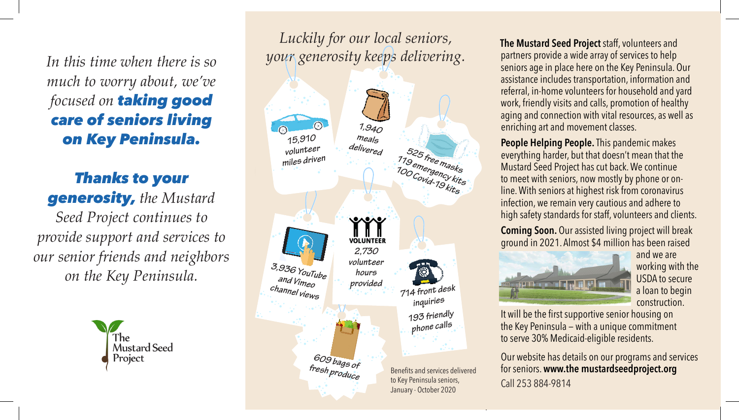*In this time when there is so much to worry about, we've focused on taking good care of seniors living on Key Peninsula.*

*Thanks to your generosity, the Mustard Seed Project continues to provide support and services to our senior friends and neighbors on the Key Peninsula.*



*Luckily for our local seniors, your generosity keeps delivering.*



**The Mustard Seed Project** staff, volunteers and partners provide a wide array of services to help seniors age in place here on the Key Peninsula. Our assistance includes transportation, information and referral, in-home volunteers for household and yard work, friendly visits and calls, promotion of healthy aging and connection with vital resources, as well as enriching art and movement classes.

**People Helping People.** This pandemic makes everything harder, but that doesn't mean that the Mustard Seed Project has cut back. We continue to meet with seniors, now mostly by phone or online. With seniors at highest risk from coronavirus infection, we remain very cautious and adhere to high safety standards for staff, volunteers and clients.

**Coming Soon.** Our assisted living project will break ground in 2021. Almost \$4 million has been raised



and we are working with the USDA to secure a loan to begin construction.

It will be the first supportive senior housing on the Key Peninsula — with a unique commitment to serve 30% Medicaid-eligible residents.

Our website has details on our programs and services for seniors. **www.the mustardseedproject.org** Call 253 884-9814